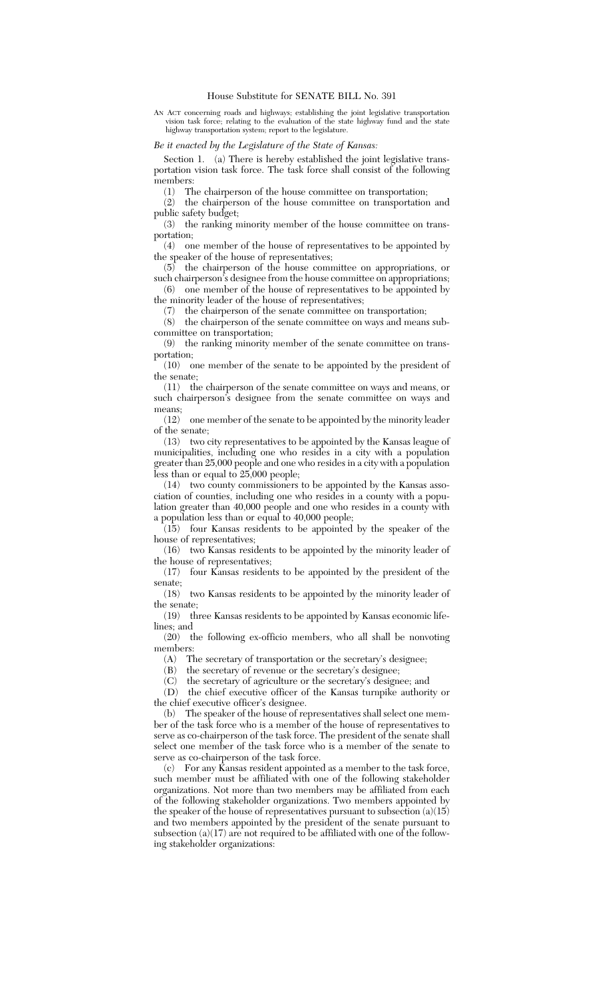AN ACT concerning roads and highways; establishing the joint legislative transportation vision task force; relating to the evaluation of the state highway fund and the state highway transportation system; report to the legislature.

*Be it enacted by the Legislature of the State of Kansas:*

Section 1. (a) There is hereby established the joint legislative transportation vision task force. The task force shall consist of the following members:

(1) The chairperson of the house committee on transportation;

(2) the chairperson of the house committee on transportation and public safety budget;

(3) the ranking minority member of the house committee on transportation;

(4) one member of the house of representatives to be appointed by the speaker of the house of representatives;

(5) the chairperson of the house committee on appropriations, or such chairperson's designee from the house committee on appropriations; (6) one member of the house of representatives to be appointed by

the minority leader of the house of representatives; the chairperson of the senate committee on transportation;

(8) the chairperson of the senate committee on ways and means subcommittee on transportation;

(9) the ranking minority member of the senate committee on transportation;

(10) one member of the senate to be appointed by the president of the senate;

(11) the chairperson of the senate committee on ways and means, or such chairperson's designee from the senate committee on ways and means;

(12) one member of the senate to be appointed by the minority leader of the senate;

(13) two city representatives to be appointed by the Kansas league of municipalities, including one who resides in a city with a population greater than 25,000 people and one who resides in a city with a population less than or equal to 25,000 people;

(14) two county commissioners to be appointed by the Kansas association of counties, including one who resides in a county with a population greater than 40,000 people and one who resides in a county with a population less than or equal to 40,000 people;

(15) four Kansas residents to be appointed by the speaker of the house of representatives;

(16) two Kansas residents to be appointed by the minority leader of the house of representatives;

(17) four Kansas residents to be appointed by the president of the senate;

(18) two Kansas residents to be appointed by the minority leader of the senate;

(19) three Kansas residents to be appointed by Kansas economic lifelines; and

(20) the following ex-officio members, who all shall be nonvoting members:

(A) The secretary of transportation or the secretary's designee;

(B) the secretary of revenue or the secretary's designee;<br>(C) the secretary of agriculture or the secretary's design

the secretary of agriculture or the secretary's designee; and

(D) the chief executive officer of the Kansas turnpike authority or the chief executive officer's designee.

(b) The speaker of the house of representatives shall select one member of the task force who is a member of the house of representatives to serve as co-chairperson of the task force. The president of the senate shall select one member of the task force who is a member of the senate to serve as co-chairperson of the task force.

(c) For any Kansas resident appointed as a member to the task force, such member must be affiliated with one of the following stakeholder organizations. Not more than two members may be affiliated from each of the following stakeholder organizations. Two members appointed by the speaker of the house of representatives pursuant to subsection (a)(15) and two members appointed by the president of the senate pursuant to subsection  $(a)(17)$  are not required to be affiliated with one of the following stakeholder organizations: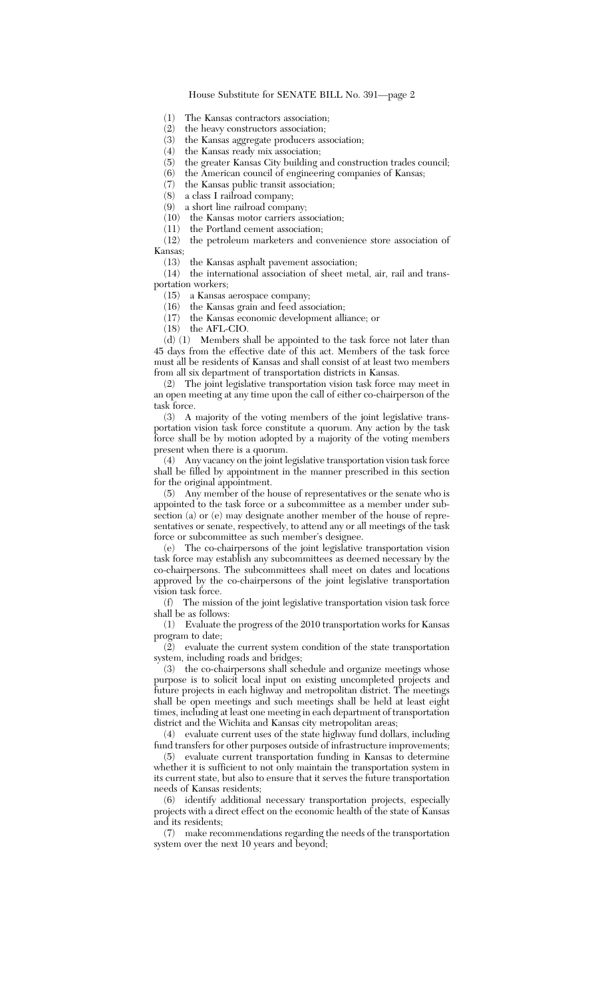House Substitute for SENATE BILL No. 391—page 2

(1) The Kansas contractors association;

(2) the heavy constructors association;<br>(3) the Kansas aggregate producers as

the Kansas aggregate producers association;

(4) the Kansas ready mix association;

- (5) the greater Kansas City building and construction trades council;
- (6) the American council of engineering companies of Kansas;

(7) the Kansas public transit association;

(8) a class I railroad company;<br>(9) a short line railroad compa

a short line railroad company;

 $(10)$  the Kansas motor carriers association;<br> $(11)$  the Portland cement association:

the Portland cement association;

(12) the petroleum marketers and convenience store association of Kansas;

(13) the Kansas asphalt pavement association;

(14) the international association of sheet metal, air, rail and transportation workers;

(15) a Kansas aerospace company;

(16) the Kansas grain and feed association;

(17) the Kansas economic development alliance; or

(18) the AFL-CIO.

(d) (1) Members shall be appointed to the task force not later than 45 days from the effective date of this act. Members of the task force must all be residents of Kansas and shall consist of at least two members from all six department of transportation districts in Kansas.

(2) The joint legislative transportation vision task force may meet in an open meeting at any time upon the call of either co-chairperson of the task force.

(3) A majority of the voting members of the joint legislative transportation vision task force constitute a quorum. Any action by the task force shall be by motion adopted by a majority of the voting members present when there is a quorum.

(4) Any vacancy on the joint legislative transportation vision task force shall be filled by appointment in the manner prescribed in this section for the original appointment.

(5) Any member of the house of representatives or the senate who is appointed to the task force or a subcommittee as a member under subsection (a) or (e) may designate another member of the house of representatives or senate, respectively, to attend any or all meetings of the task force or subcommittee as such member's designee.

(e) The co-chairpersons of the joint legislative transportation vision task force may establish any subcommittees as deemed necessary by the co-chairpersons. The subcommittees shall meet on dates and locations approved by the co-chairpersons of the joint legislative transportation vision task force.

(f) The mission of the joint legislative transportation vision task force shall be as follows:

(1) Evaluate the progress of the 2010 transportation works for Kansas program to date;

 $(2)$  evaluate the current system condition of the state transportation system, including roads and bridges;

(3) the co-chairpersons shall schedule and organize meetings whose purpose is to solicit local input on existing uncompleted projects and future projects in each highway and metropolitan district. The meetings shall be open meetings and such meetings shall be held at least eight times, including at least one meeting in each department of transportation district and the Wichita and Kansas city metropolitan areas;

(4) evaluate current uses of the state highway fund dollars, including fund transfers for other purposes outside of infrastructure improvements;

(5) evaluate current transportation funding in Kansas to determine whether it is sufficient to not only maintain the transportation system in its current state, but also to ensure that it serves the future transportation needs of Kansas residents;

(6) identify additional necessary transportation projects, especially projects with a direct effect on the economic health of the state of Kansas and its residents;

(7) make recommendations regarding the needs of the transportation system over the next 10 years and beyond;